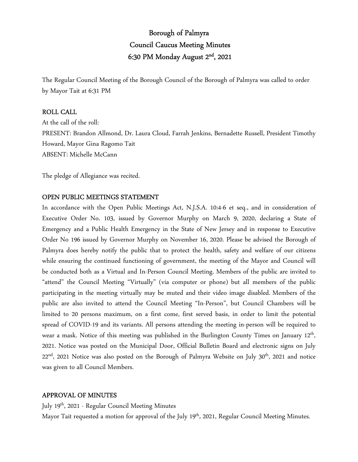# Borough of Palmyra Council Caucus Meeting Minutes 6:30 PM Monday August 2nd, 2021

The Regular Council Meeting of the Borough Council of the Borough of Palmyra was called to order by Mayor Tait at 6:31 PM

# ROLL CALL

At the call of the roll: PRESENT: Brandon Allmond, Dr. Laura Cloud, Farrah Jenkins, Bernadette Russell, President Timothy Howard, Mayor Gina Ragomo Tait ABSENT: Michelle McCann

The pledge of Allegiance was recited.

# OPEN PUBLIC MEETINGS STATEMENT

In accordance with the Open Public Meetings Act, N.J.S.A. 10:4-6 et seq., and in consideration of Executive Order No. 103, issued by Governor Murphy on March 9, 2020, declaring a State of Emergency and a Public Health Emergency in the State of New Jersey and in response to Executive Order No 196 issued by Governor Murphy on November 16, 2020. Please be advised the Borough of Palmyra does hereby notify the public that to protect the health, safety and welfare of our citizens while ensuring the continued functioning of government, the meeting of the Mayor and Council will be conducted both as a Virtual and In-Person Council Meeting. Members of the public are invited to "attend" the Council Meeting "Virtually" (via computer or phone) but all members of the public participating in the meeting virtually may be muted and their video image disabled. Members of the public are also invited to attend the Council Meeting "In-Person", but Council Chambers will be limited to 20 persons maximum, on a first come, first served basis, in order to limit the potential spread of COVID-19 and its variants. All persons attending the meeting in-person will be required to wear a mask. Notice of this meeting was published in the Burlington County Times on January 12<sup>th</sup>, 2021. Notice was posted on the Municipal Door, Official Bulletin Board and electronic signs on July 22<sup>nd</sup>, 2021 Notice was also posted on the Borough of Palmyra Website on July 30<sup>th</sup>, 2021 and notice was given to all Council Members.

# APPROVAL OF MINUTES

July 19th, 2021 - Regular Council Meeting Minutes

Mayor Tait requested a motion for approval of the July 19<sup>th</sup>, 2021, Regular Council Meeting Minutes.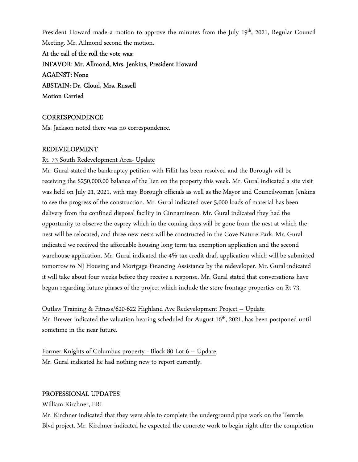President Howard made a motion to approve the minutes from the July 19<sup>th</sup>, 2021, Regular Council Meeting. Mr. Allmond second the motion.

At the call of the roll the vote was: INFAVOR: Mr. Allmond, Mrs. Jenkins, President Howard AGAINST: None ABSTAIN: Dr. Cloud, Mrs. Russell Motion Carried

# **CORRESPONDENCE**

Ms. Jackson noted there was no correspondence.

# REDEVELOPMENT

#### Rt. 73 South Redevelopment Area- Update

Mr. Gural stated the bankruptcy petition with Fillit has been resolved and the Borough will be receiving the \$250,000.00 balance of the lien on the property this week. Mr. Gural indicated a site visit was held on July 21, 2021, with may Borough officials as well as the Mayor and Councilwoman Jenkins to see the progress of the construction. Mr. Gural indicated over 5,000 loads of material has been delivery from the confined disposal facility in Cinnaminson. Mr. Gural indicated they had the opportunity to observe the osprey which in the coming days will be gone from the nest at which the nest will be relocated, and three new nests will be constructed in the Cove Nature Park. Mr. Gural indicated we received the affordable housing long term tax exemption application and the second warehouse application. Mr. Gural indicated the 4% tax credit draft application which will be submitted tomorrow to NJ Housing and Mortgage Financing Assistance by the redeveloper. Mr. Gural indicated it will take about four weeks before they receive a response. Mr. Gural stated that conversations have begun regarding future phases of the project which include the store frontage properties on Rt 73.

Outlaw Training & Fitness/620-622 Highland Ave Redevelopment Project – Update Mr. Brewer indicated the valuation hearing scheduled for August 16<sup>th</sup>, 2021, has been postponed until sometime in the near future.

Former Knights of Columbus property - Block 80 Lot 6 – Update Mr. Gural indicated he had nothing new to report currently.

#### PROFESSIONAL UPDATES

William Kirchner, ERI

Mr. Kirchner indicated that they were able to complete the underground pipe work on the Temple Blvd project. Mr. Kirchner indicated he expected the concrete work to begin right after the completion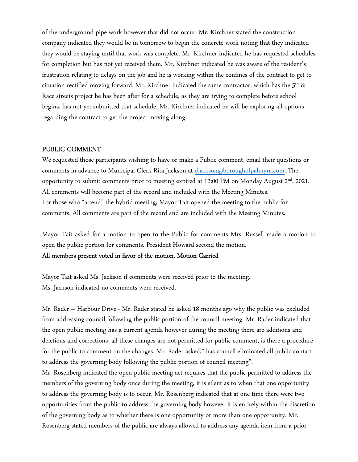of the underground pipe work however that did not occur. Mr. Kirchner stated the construction company indicated they would be in tomorrow to begin the concrete work noting that they indicated they would be staying until that work was complete. Mr. Kirchner indicated he has requested schedules for completion but has not yet received them. Mr. Kirchner indicated he was aware of the resident's frustration relating to delays on the job and he is working within the confines of the contract to get to situation rectified moving forward. Mr. Kirchner indicated the same contractor, which has the  $5<sup>th</sup>$  & Race streets project he has been after for a schedule, as they are trying to complete before school begins, has not yet submitted that schedule. Mr. Kirchner indicated he will be exploring all options regarding the contract to get the project moving along.

# PUBLIC COMMENT

We requested those participants wishing to have or make a Public comment, email their questions or comments in advance to Municipal Clerk Rita Jackson at djackson@boroughofpalmyra.com. The opportunity to submit comments prior to meeting expired at 12:00 PM on Monday August 2<sup>nd</sup>, 2021. All comments will become part of the record and included with the Meeting Minutes. For those who "attend" the hybrid meeting, Mayor Tait opened the meeting to the public for comments. All comments are part of the record and are included with the Meeting Minutes.

Mayor Tait asked for a motion to open to the Public for comments Mrs. Russell made a motion to open the public portion for comments. President Howard second the motion.

All members present voted in favor of the motion. Motion Carried

Mayor Tait asked Ms. Jackson if comments were received prior to the meeting. Ms. Jackson indicated no comments were received.

Mr. Rader – Harbour Drive - Mr. Rader stated he asked 18 months ago why the public was excluded from addressing council following the public portion of the council meeting. Mr. Rader indicated that the open public meeting has a current agenda however during the meeting there are additions and deletions and corrections, all these changes are not permitted for public comment, is there a procedure for the public to comment on the changes. Mr. Rader asked," has council eliminated all public contact to address the governing body following the public portion of council meeting".

Mr. Rosenberg indicated the open public meeting act requires that the public permitted to address the members of the governing body once during the meeting, it is silent as to when that one opportunity to address the governing body is to occur. Mr. Rosenberg indicated that at one time there were two opportunities from the public to address the governing body however it is entirely within the discretion of the governing body as to whether there is one opportunity or more than one opportunity. Mr. Rosenberg stated members of the public are always allowed to address any agenda item from a prior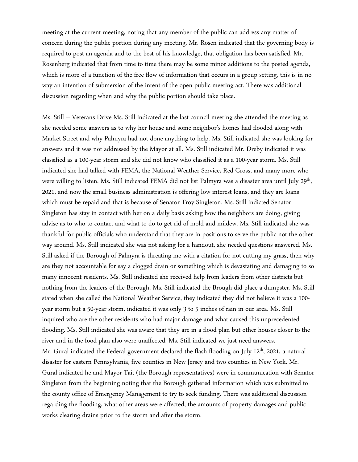meeting at the current meeting, noting that any member of the public can address any matter of concern during the public portion during any meeting. Mr. Rosen indicated that the governing body is required to post an agenda and to the best of his knowledge, that obligation has been satisfied. Mr. Rosenberg indicated that from time to time there may be some minor additions to the posted agenda, which is more of a function of the free flow of information that occurs in a group setting, this is in no way an intention of submersion of the intent of the open public meeting act. There was additional discussion regarding when and why the public portion should take place.

Ms. Still – Veterans Drive Ms. Still indicated at the last council meeting she attended the meeting as she needed some answers as to why her house and some neighbor's homes had flooded along with Market Street and why Palmyra had not done anything to help. Ms. Still indicated she was looking for answers and it was not addressed by the Mayor at all. Ms. Still indicated Mr. Dreby indicated it was classified as a 100-year storm and she did not know who classified it as a 100-year storm. Ms. Still indicated she had talked with FEMA, the National Weather Service, Red Cross, and many more who were willing to listen. Ms. Still indicated FEMA did not list Palmyra was a disaster area until July 29<sup>th</sup>, 2021, and now the small business administration is offering low interest loans, and they are loans which must be repaid and that is because of Senator Troy Singleton. Ms. Still indicted Senator Singleton has stay in contact with her on a daily basis asking how the neighbors are doing, giving advise as to who to contact and what to do to get rid of mold and mildew. Ms. Still indicated she was thankful for public officials who understand that they are in positions to serve the public not the other way around. Ms. Still indicated she was not asking for a handout, she needed questions answered. Ms. Still asked if the Borough of Palmyra is threating me with a citation for not cutting my grass, then why are they not accountable for say a clogged drain or something which is devastating and damaging to so many innocent residents. Ms. Still indicated she received help from leaders from other districts but nothing from the leaders of the Borough. Ms. Still indicated the Brough did place a dumpster. Ms. Still stated when she called the National Weather Service, they indicated they did not believe it was a 100 year storm but a 50-year storm, indicated it was only 3 to 5 inches of rain in our area. Ms. Still inquired who are the other residents who had major damage and what caused this unprecedented flooding. Ms. Still indicated she was aware that they are in a flood plan but other houses closer to the river and in the food plan also were unaffected. Ms. Still indicated we just need answers. Mr. Gural indicated the Federal government declared the flash flooding on July 12<sup>th</sup>, 2021, a natural disaster for eastern Pennsylvania, five counties in New Jersey and two counties in New York. Mr. Gural indicated he and Mayor Tait (the Borough representatives) were in communication with Senator Singleton from the beginning noting that the Borough gathered information which was submitted to the county office of Emergency Management to try to seek funding. There was additional discussion regarding the flooding, what other areas were affected, the amounts of property damages and public works clearing drains prior to the storm and after the storm.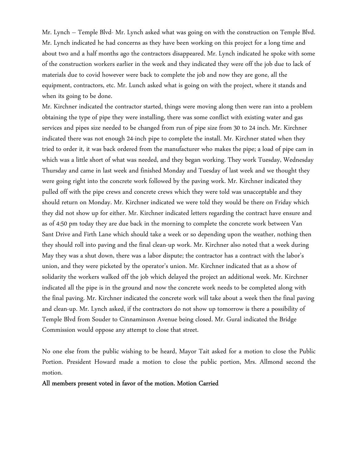Mr. Lynch – Temple Blvd- Mr. Lynch asked what was going on with the construction on Temple Blvd. Mr. Lynch indicated he had concerns as they have been working on this project for a long time and about two and a half months ago the contractors disappeared. Mr. Lynch indicated he spoke with some of the construction workers earlier in the week and they indicated they were off the job due to lack of materials due to covid however were back to complete the job and now they are gone, all the equipment, contractors, etc. Mr. Lunch asked what is going on with the project, where it stands and when its going to be done.

Mr. Kirchner indicated the contractor started, things were moving along then were ran into a problem obtaining the type of pipe they were installing, there was some conflict with existing water and gas services and pipes size needed to be changed from run of pipe size from 30 to 24 inch. Mr. Kirchner indicated there was not enough 24-inch pipe to complete the install. Mr. Kirchner stated when they tried to order it, it was back ordered from the manufacturer who makes the pipe; a load of pipe cam in which was a little short of what was needed, and they began working. They work Tuesday, Wednesday Thursday and came in last week and finished Monday and Tuesday of last week and we thought they were going right into the concrete work followed by the paving work. Mr. Kirchner indicated they pulled off with the pipe crews and concrete crews which they were told was unacceptable and they should return on Monday. Mr. Kirchner indicated we were told they would be there on Friday which they did not show up for either. Mr. Kirchner indicated letters regarding the contract have ensure and as of 4:50 pm today they are due back in the morning to complete the concrete work between Van Sant Drive and Firth Lane which should take a week or so depending upon the weather, nothing then they should roll into paving and the final clean-up work. Mr. Kirchner also noted that a week during May they was a shut down, there was a labor dispute; the contractor has a contract with the labor's union, and they were picketed by the operator's union. Mr. Kirchner indicated that as a show of solidarity the workers walked off the job which delayed the project an additional week. Mr. Kirchner indicated all the pipe is in the ground and now the concrete work needs to be completed along with the final paving. Mr. Kirchner indicated the concrete work will take about a week then the final paving and clean-up. Mr. Lynch asked, if the contractors do not show up tomorrow is there a possibility of Temple Blvd from Souder to Cinnaminson Avenue being closed. Mr. Gural indicated the Bridge Commission would oppose any attempt to close that street.

No one else from the public wishing to be heard, Mayor Tait asked for a motion to close the Public Portion. President Howard made a motion to close the public portion, Mrs. Allmond second the motion.

All members present voted in favor of the motion. Motion Carried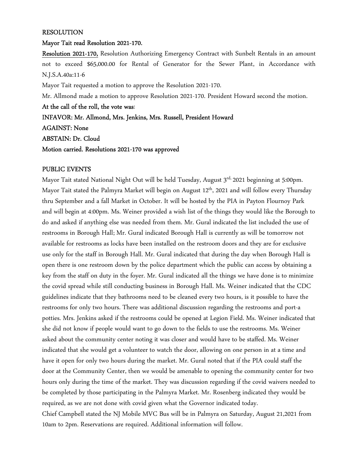#### RESOLUTION

# Mayor Tait read Resolution 2021-170.

Resolution 2021-170, Resolution Authorizing Emergency Contract with Sunbelt Rentals in an amount not to exceed \$65,000.00 for Rental of Generator for the Sewer Plant, in Accordance with N.J.S.A.40a:11-6

Mayor Tait requested a motion to approve the Resolution 2021-170.

Mr. Allmond made a motion to approve Resolution 2021-170. President Howard second the motion.

At the call of the roll, the vote was:

INFAVOR: Mr. Allmond, Mrs. Jenkins, Mrs. Russell, President Howard

AGAINST: None

ABSTAIN: Dr. Cloud

Motion carried. Resolutions 2021-170 was approved

# PUBLIC EVENTS

Mayor Tait stated National Night Out will be held Tuesday, August 3rd, 2021 beginning at 5:00pm. Mayor Tait stated the Palmyra Market will begin on August 12<sup>th</sup>, 2021 and will follow every Thursday thru September and a fall Market in October. It will be hosted by the PIA in Payton Flournoy Park and will begin at 4:00pm. Ms. Weiner provided a wish list of the things they would like the Borough to do and asked if anything else was needed from them. Mr. Gural indicated the list included the use of restrooms in Borough Hall; Mr. Gural indicated Borough Hall is currently as will be tomorrow not available for restrooms as locks have been installed on the restroom doors and they are for exclusive use only for the staff in Borough Hall. Mr. Gural indicated that during the day when Borough Hall is open there is one restroom down by the police department which the public can access by obtaining a key from the staff on duty in the foyer. Mr. Gural indicated all the things we have done is to minimize the covid spread while still conducting business in Borough Hall. Ms. Weiner indicated that the CDC guidelines indicate that they bathrooms need to be cleaned every two hours, is it possible to have the restrooms for only two hours. There was additional discussion regarding the restrooms and port-a potties. Mrs. Jenkins asked if the restrooms could be opened at Legion Field. Ms. Weiner indicated that she did not know if people would want to go down to the fields to use the restrooms. Ms. Weiner asked about the community center noting it was closer and would have to be staffed. Ms. Weiner indicated that she would get a volunteer to watch the door, allowing on one person in at a time and have it open for only two hours during the market. Mr. Gural noted that if the PIA could staff the door at the Community Center, then we would be amenable to opening the community center for two hours only during the time of the market. They was discussion regarding if the covid waivers needed to be completed by those participating in the Palmyra Market. Mr. Rosenberg indicated they would be required, as we are not done with covid given what the Governor indicated today. Chief Campbell stated the NJ Mobile MVC Bus will be in Palmyra on Saturday, August 21,2021 from 10am to 2pm. Reservations are required. Additional information will follow.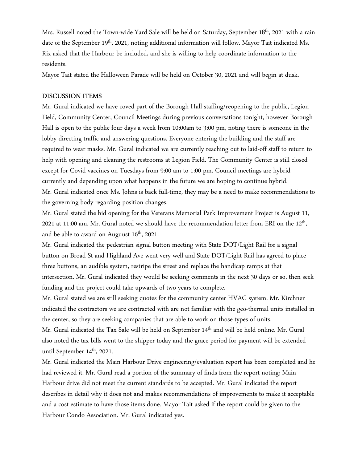Mrs. Russell noted the Town-wide Yard Sale will be held on Saturday, September 18<sup>th</sup>, 2021 with a rain date of the September 19<sup>th</sup>, 2021, noting additional information will follow. Mayor Tait indicated Ms. Rix asked that the Harbour be included, and she is willing to help coordinate information to the residents.

Mayor Tait stated the Halloween Parade will be held on October 30, 2021 and will begin at dusk.

# DISCUSSION ITEMS

Mr. Gural indicated we have coved part of the Borough Hall staffing/reopening to the public, Legion Field, Community Center, Council Meetings during previous conversations tonight, however Borough Hall is open to the public four days a week from 10:00am to 3:00 pm, noting there is someone in the lobby directing traffic and answering questions. Everyone entering the building and the staff are required to wear masks. Mr. Gural indicated we are currently reaching out to laid-off staff to return to help with opening and cleaning the restrooms at Legion Field. The Community Center is still closed except for Covid vaccines on Tuesdays from 9:00 am to 1:00 pm. Council meetings are hybrid currently and depending upon what happens in the future we are hoping to continue hybrid. Mr. Gural indicated once Ms. Johns is back full-time, they may be a need to make recommendations to the governing body regarding position changes.

Mr. Gural stated the bid opening for the Veterans Memorial Park Improvement Project is August 11, 2021 at 11:00 am. Mr. Gural noted we should have the recommendation letter from ERI on the  $12^{\text{th}}$ , and be able to award on Auguust  $16<sup>th</sup>$ , 2021.

Mr. Gural indicated the pedestrian signal button meeting with State DOT/Light Rail for a signal button on Broad St and Highland Ave went very well and State DOT/Light Rail has agreed to place three buttons, an audible system, restripe the street and replace the handicap ramps at that intersection. Mr. Gural indicated they would be seeking comments in the next 30 days or so, then seek funding and the project could take upwards of two years to complete.

Mr. Gural stated we are still seeking quotes for the community center HVAC system. Mr. Kirchner indicated the contractors we are contracted with are not familiar with the geo-thermal units installed in the center, so they are seeking companies that are able to work on those types of units.

Mr. Gural indicated the Tax Sale will be held on September 14<sup>th</sup> and will be held online. Mr. Gural also noted the tax bills went to the shipper today and the grace period for payment will be extended until September 14<sup>th</sup>, 2021.

Mr. Gural indicated the Main Harbour Drive engineering/evaluation report has been completed and he had reviewed it. Mr. Gural read a portion of the summary of finds from the report noting; Main Harbour drive did not meet the current standards to be accepted. Mr. Gural indicated the report describes in detail why it does not and makes recommendations of improvements to make it acceptable and a cost estimate to have those items done. Mayor Tait asked if the report could be given to the Harbour Condo Association. Mr. Gural indicated yes.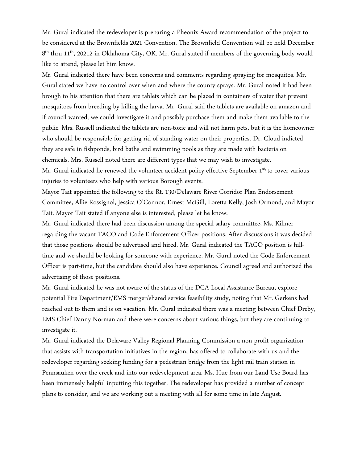Mr. Gural indicated the redeveloper is preparing a Pheonix Award recommendation of the project to be considered at the Brownfields 2021 Convention. The Brownfield Convention will be held December  $8<sup>th</sup>$  thru 11<sup>th</sup>, 20212 in Oklahoma City, OK. Mr. Gural stated if members of the governing body would like to attend, please let him know.

Mr. Gural indicated there have been concerns and comments regarding spraying for mosquitos. Mr. Gural stated we have no control over when and where the county sprays. Mr. Gural noted it had been brough to his attention that there are tablets which can be placed in containers of water that prevent mosquitoes from breeding by killing the larva. Mr. Gural said the tablets are available on amazon and if council wanted, we could investigate it and possibly purchase them and make them available to the public. Mrs. Russell indicated the tablets are non-toxic and will not harm pets, but it is the homeowner who should be responsible for getting rid of standing water on their properties. Dr. Cloud indicted they are safe in fishponds, bird baths and swimming pools as they are made with bacteria on chemicals. Mrs. Russell noted there are different types that we may wish to investigate. Mr. Gural indicated he renewed the volunteer accident policy effective September 1<sup>st,</sup> to cover various injuries to volunteers who help with various Borough events.

Mayor Tait appointed the following to the Rt. 130/Delaware River Corridor Plan Endorsement Committee, Allie Rossignol, Jessica O'Connor, Ernest McGill, Loretta Kelly, Josh Ormond, and Mayor Tait. Mayor Tait stated if anyone else is interested, please let he know.

Mr. Gural indicated there had been discussion among the special salary committee, Ms. Kilmer regarding the vacant TACO and Code Enforcement Officer positions. After discussions it was decided that those positions should be advertised and hired. Mr. Gural indicated the TACO position is fulltime and we should be looking for someone with experience. Mr. Gural noted the Code Enforcement Officer is part-time, but the candidate should also have experience. Council agreed and authorized the advertising of those positions.

Mr. Gural indicated he was not aware of the status of the DCA Local Assistance Bureau, explore potential Fire Department/EMS merger/shared service feasibility study, noting that Mr. Gerkens had reached out to them and is on vacation. Mr. Gural indicated there was a meeting between Chief Dreby, EMS Chief Danny Norman and there were concerns about various things, but they are continuing to investigate it.

Mr. Gural indicated the Delaware Valley Regional Planning Commission a non-profit organization that assists with transportation initiatives in the region, has offered to collaborate with us and the redeveloper regarding seeking funding for a pedestrian bridge from the light rail train station in Pennsauken over the creek and into our redevelopment area. Ms. Hue from our Land Use Board has been immensely helpful inputting this together. The redeveloper has provided a number of concept plans to consider, and we are working out a meeting with all for some time in late August.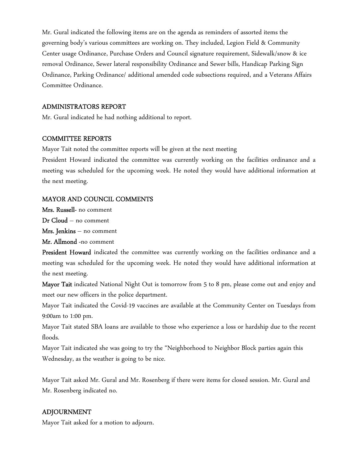Mr. Gural indicated the following items are on the agenda as reminders of assorted items the governing body's various committees are working on. They included, Legion Field & Community Center usage Ordinance, Purchase Orders and Council signature requirement, Sidewalk/snow & ice removal Ordinance, Sewer lateral responsibility Ordinance and Sewer bills, Handicap Parking Sign Ordinance, Parking Ordinance/ additional amended code subsections required, and a Veterans Affairs Committee Ordinance.

# ADMINISTRATORS REPORT

Mr. Gural indicated he had nothing additional to report.

# COMMITTEE REPORTS

Mayor Tait noted the committee reports will be given at the next meeting

President Howard indicated the committee was currently working on the facilities ordinance and a meeting was scheduled for the upcoming week. He noted they would have additional information at the next meeting.

# MAYOR AND COUNCIL COMMENTS

Mrs. Russell- no comment

Dr Cloud – no comment

Mrs. Jenkins – no comment

Mr. Allmond -no comment

President Howard indicated the committee was currently working on the facilities ordinance and a meeting was scheduled for the upcoming week. He noted they would have additional information at the next meeting.

Mayor Tait indicated National Night Out is tomorrow from 5 to 8 pm, please come out and enjoy and meet our new officers in the police department.

Mayor Tait indicated the Covid-19 vaccines are available at the Community Center on Tuesdays from 9:00am to 1:00 pm.

Mayor Tait stated SBA loans are available to those who experience a loss or hardship due to the recent floods.

Mayor Tait indicated she was going to try the "Neighborhood to Neighbor Block parties again this Wednesday, as the weather is going to be nice.

Mayor Tait asked Mr. Gural and Mr. Rosenberg if there were items for closed session. Mr. Gural and Mr. Rosenberg indicated no.

# ADJOURNMENT

Mayor Tait asked for a motion to adjourn.